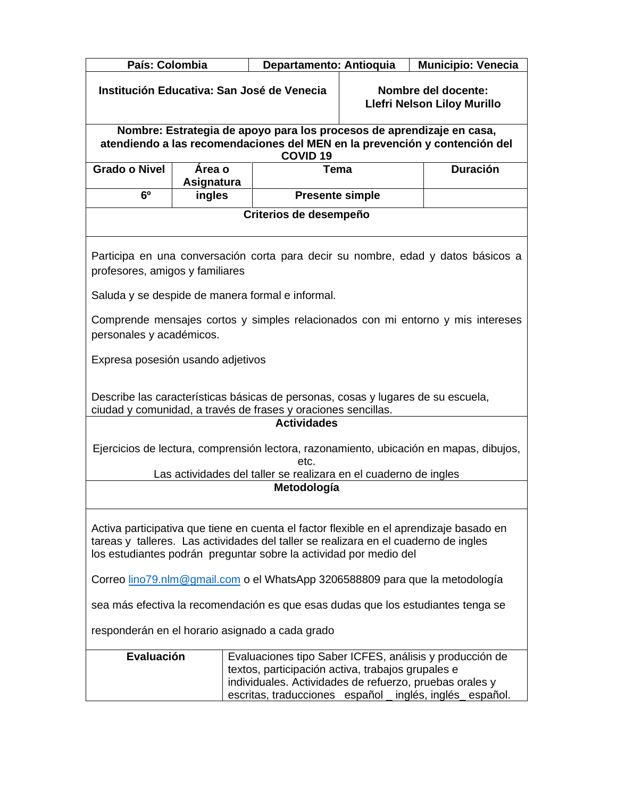| País: Colombia                                                                                                                                                                                                                                             |                      | Departamento: Antioquia                                                                                                                                                |                                                           | Municipio: Venecia                                                                     |
|------------------------------------------------------------------------------------------------------------------------------------------------------------------------------------------------------------------------------------------------------------|----------------------|------------------------------------------------------------------------------------------------------------------------------------------------------------------------|-----------------------------------------------------------|----------------------------------------------------------------------------------------|
| Institución Educativa: San José de Venecia                                                                                                                                                                                                                 |                      |                                                                                                                                                                        | Nombre del docente:<br><b>Llefri Nelson Liloy Murillo</b> |                                                                                        |
|                                                                                                                                                                                                                                                            |                      | Nombre: Estrategia de apoyo para los procesos de aprendizaje en casa,<br>atendiendo a las recomendaciones del MEN en la prevención y contención del<br><b>COVID 19</b> |                                                           |                                                                                        |
| <b>Grado o Nivel</b>                                                                                                                                                                                                                                       | Área o<br>Asignatura | Tema                                                                                                                                                                   |                                                           | <b>Duración</b>                                                                        |
| 6 <sup>0</sup>                                                                                                                                                                                                                                             | ingles               | <b>Presente simple</b>                                                                                                                                                 |                                                           |                                                                                        |
|                                                                                                                                                                                                                                                            |                      | Criterios de desempeño                                                                                                                                                 |                                                           |                                                                                        |
| Participa en una conversación corta para decir su nombre, edad y datos básicos a<br>profesores, amigos y familiares                                                                                                                                        |                      |                                                                                                                                                                        |                                                           |                                                                                        |
|                                                                                                                                                                                                                                                            |                      | Saluda y se despide de manera formal e informal.                                                                                                                       |                                                           |                                                                                        |
| Comprende mensajes cortos y simples relacionados con mi entorno y mis intereses<br>personales y académicos.                                                                                                                                                |                      |                                                                                                                                                                        |                                                           |                                                                                        |
| Expresa posesión usando adjetivos                                                                                                                                                                                                                          |                      |                                                                                                                                                                        |                                                           |                                                                                        |
| Describe las características básicas de personas, cosas y lugares de su escuela,<br>ciudad y comunidad, a través de frases y oraciones sencillas.                                                                                                          |                      |                                                                                                                                                                        |                                                           |                                                                                        |
|                                                                                                                                                                                                                                                            |                      | <b>Actividades</b>                                                                                                                                                     |                                                           |                                                                                        |
|                                                                                                                                                                                                                                                            |                      | etc.                                                                                                                                                                   |                                                           | Ejercicios de lectura, comprensión lectora, razonamiento, ubicación en mapas, dibujos, |
|                                                                                                                                                                                                                                                            |                      | Las actividades del taller se realizara en el cuaderno de ingles                                                                                                       |                                                           |                                                                                        |
|                                                                                                                                                                                                                                                            |                      | Metodología                                                                                                                                                            |                                                           |                                                                                        |
| Activa participativa que tiene en cuenta el factor flexible en el aprendizaje basado en<br>tareas y talleres. Las actividades del taller se realizara en el cuaderno de ingles<br>los estudiantes podrán preguntar sobre la actividad por medio del        |                      |                                                                                                                                                                        |                                                           |                                                                                        |
| Correo lino79.nlm@gmail.com o el WhatsApp 3206588809 para que la metodología                                                                                                                                                                               |                      |                                                                                                                                                                        |                                                           |                                                                                        |
| sea más efectiva la recomendación es que esas dudas que los estudiantes tenga se                                                                                                                                                                           |                      |                                                                                                                                                                        |                                                           |                                                                                        |
| responderán en el horario asignado a cada grado                                                                                                                                                                                                            |                      |                                                                                                                                                                        |                                                           |                                                                                        |
| <b>Evaluación</b><br>Evaluaciones tipo Saber ICFES, análisis y producción de<br>textos, participación activa, trabajos grupales e<br>individuales. Actividades de refuerzo, pruebas orales y<br>escritas, traducciones español _ inglés, inglés _ español. |                      |                                                                                                                                                                        |                                                           |                                                                                        |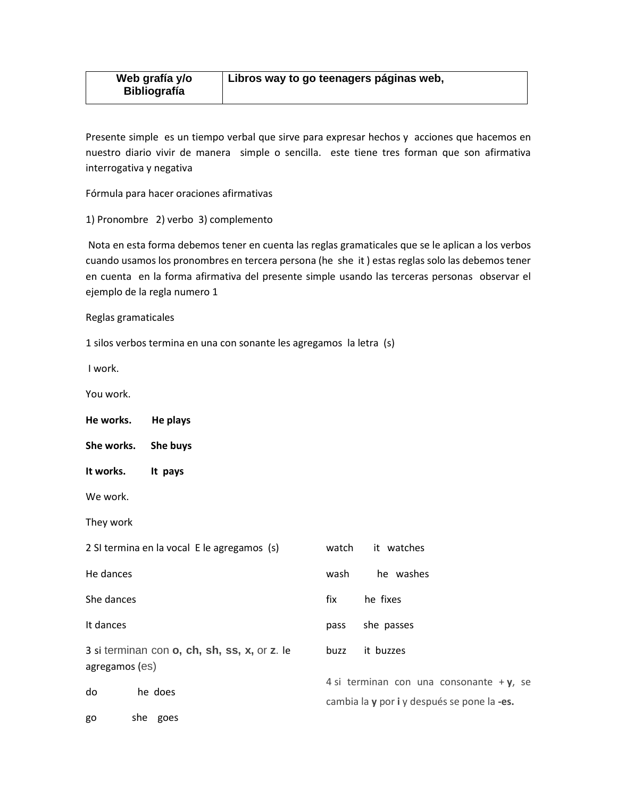Presente simple es un tiempo verbal que sirve para expresar hechos y acciones que hacemos en nuestro diario vivir de manera simple o sencilla. este tiene tres forman que son afirmativa interrogativa y negativa

Fórmula para hacer oraciones afirmativas

1) Pronombre 2) verbo 3) complemento

Nota en esta forma debemos tener en cuenta las reglas gramaticales que se le aplican a los verbos cuando usamos los pronombres en tercera persona (he she it ) estas reglas solo las debemos tener en cuenta en la forma afirmativa del presente simple usando las terceras personas observar el ejemplo de la regla numero 1

Reglas gramaticales

1 silos verbos termina en una con sonante les agregamos la letra (s)

I work.

You work.

**He works. He plays**

**She works. She buys**

**It works. It pays**

We work.

They work

|                | 2 SI termina en la vocal E le agregamos (s)  | watch                                                                                      | it watches |
|----------------|----------------------------------------------|--------------------------------------------------------------------------------------------|------------|
| He dances      |                                              | wash                                                                                       | he washes  |
| She dances     |                                              | fix                                                                                        | he fixes   |
| It dances      |                                              | pass                                                                                       | she passes |
| agregamos (es) | 3 si terminan con o, ch, sh, ss, x, or z. le | buzz                                                                                       | it buzzes  |
| do             | he does                                      | 4 si terminan con una consonante + $y$ , se<br>cambia la y por i y después se pone la -es. |            |
| go             | she goes                                     |                                                                                            |            |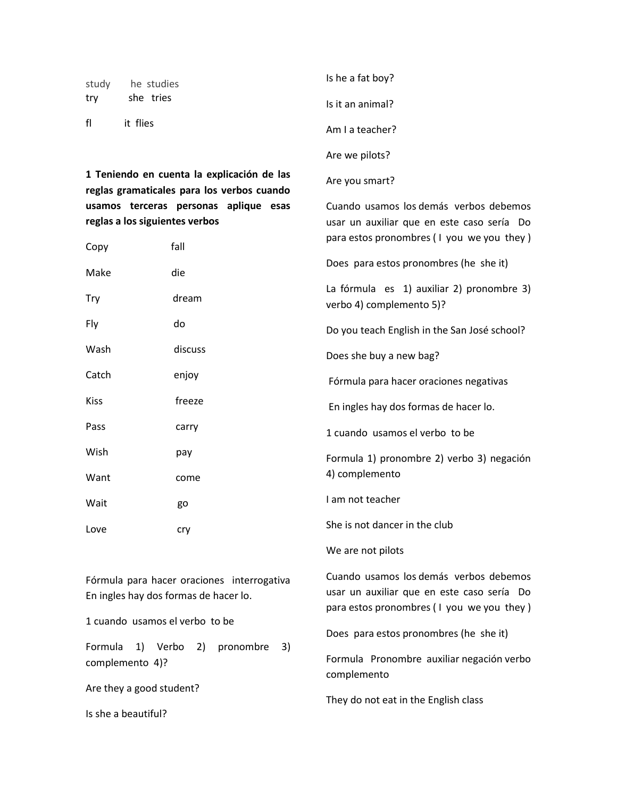| study | he studies                                 | Is he a fat boy? |
|-------|--------------------------------------------|------------------|
| try   | she tries                                  | Is it an animal? |
| fl    | it flies                                   | Am I a teacher?  |
|       |                                            | Are we pilots?   |
|       | 1 Teniendo en cuenta la explicación de las | Are you smart?   |

**1 Teniendo en cuenta la explicación de las reglas gramaticales para los verbos cuando usamos terceras personas aplique esas reglas a los siguientes verbos** 

| Copy        | fall    | para estos pronombres (I you we you they)                             |  |
|-------------|---------|-----------------------------------------------------------------------|--|
| Make        | die     | Does para estos pronombres (he she it)                                |  |
| Try         | dream   | La fórmula es 1) auxiliar 2) pronombre 3)<br>verbo 4) complemento 5)? |  |
| Fly         | do      | Do you teach English in the San José school?                          |  |
| Wash        | discuss | Does she buy a new bag?                                               |  |
| Catch       | enjoy   | Fórmula para hacer oraciones negativas                                |  |
| <b>Kiss</b> | freeze  | En ingles hay dos formas de hacer lo.                                 |  |
| Pass        | carry   | 1 cuando usamos el verbo to be                                        |  |
| Wish        | pay     | Formula 1) pronombre 2) verbo 3) negación                             |  |
| Want        | come    | 4) complemento                                                        |  |
| Wait        | go      | I am not teacher                                                      |  |
| Love        | cry     | She is not dancer in the club                                         |  |

Fórmula para hacer oraciones interrogativa En ingles hay dos formas de hacer lo.

1 cuando usamos el verbo to be

Formula 1) Verbo 2) pronombre 3) complemento 4)?

Are they a good student?

Is she a beautiful?

Cuando usamos los demás verbos debemos usar un auxiliar que en este caso sería Do para estos pronombres ( I you we you they )

Cuando usamos los demás verbos debemos usar un auxiliar que en este caso sería Do

Does para estos pronombres (he she it)

We are not pilots

Formula Pronombre auxiliar negación verbo complemento

They do not eat in the English class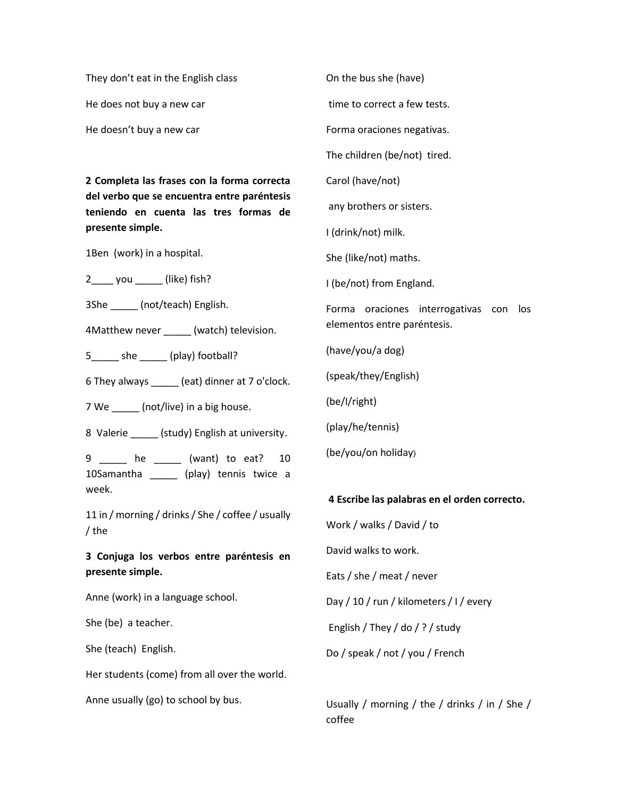They don't eat in the English class

He does not buy a new car

He doesn't buy a new car

**2 Completa las frases con la forma correcta del verbo que se encuentra entre paréntesis teniendo en cuenta las tres formas de presente simple.**

1Ben (work) in a hospital.

2\_\_\_\_ you \_\_\_\_\_ (like) fish?

3She \_\_\_\_\_ (not/teach) English.

4Matthew never \_\_\_\_\_ (watch) television.

5\_\_\_\_\_ she \_\_\_\_\_ (play) football?

6 They always \_\_\_\_\_ (eat) dinner at 7 o'clock.

7 We \_\_\_\_\_\_ (not/live) in a big house.

8 Valerie (study) English at university.

9 \_\_\_\_\_ he \_\_\_\_\_ (want) to eat? 10 10Samantha \_\_\_\_\_ (play) tennis twice a week.

11 in / morning / drinks / She / coffee / usually / the

**3 Conjuga los verbos entre paréntesis en presente simple.**

Anne (work) in a language school.

She (be) a teacher.

She (teach) English.

Her students (come) from all over the world.

Anne usually (go) to school by bus.

On the bus she (have) time to correct a few tests. Forma oraciones negativas. The children (be/not) tired. Carol (have/not) any brothers or sisters. I (drink/not) milk. She (like/not) maths. I (be/not) from England. Forma oraciones interrogativas con los elementos entre paréntesis. (have/you/a dog) (speak/they/English) (be/I/right) (play/he/tennis) (be/you/on holiday) **4 Escribe las palabras en el orden correcto.**

Work / walks / David / to David walks to work. Eats / she / meat / never Day / 10 / run / kilometers / I / every English / They / do / ? / study Do / speak / not / you / French

Usually / morning / the / drinks / in / She / coffee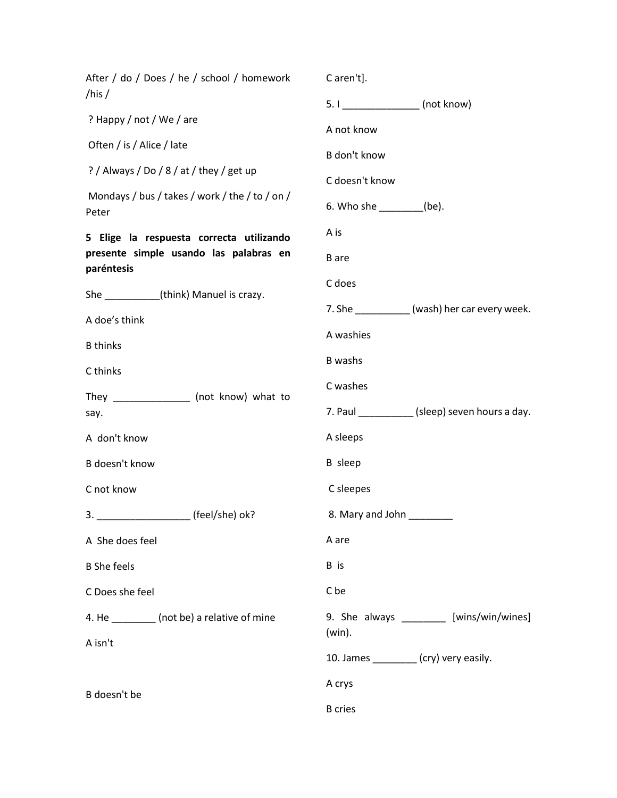| After / do / Does / he / school / homework<br>/his /    | C aren't].                                            |  |  |  |
|---------------------------------------------------------|-------------------------------------------------------|--|--|--|
|                                                         | 5. I ___________________ (not know)                   |  |  |  |
| ? Happy / not / We / are                                | A not know                                            |  |  |  |
| Often / is / Alice / late                               | B don't know                                          |  |  |  |
| ? / Always / Do / 8 / at / they / get up                | C doesn't know                                        |  |  |  |
| Mondays / bus / takes / work / the / to / on /<br>Peter | 6. Who she $(be)$ .                                   |  |  |  |
| 5 Elige la respuesta correcta utilizando                | A is                                                  |  |  |  |
| presente simple usando las palabras en                  | <b>B</b> are                                          |  |  |  |
| paréntesis                                              | C does                                                |  |  |  |
| She ________(think) Manuel is crazy.                    | 7. She ___________(wash) her car every week.          |  |  |  |
| A doe's think                                           | A washies                                             |  |  |  |
| <b>B</b> thinks                                         | <b>B</b> washs                                        |  |  |  |
| C thinks                                                | C washes                                              |  |  |  |
| They _________________ (not know) what to               |                                                       |  |  |  |
| say.                                                    | 7. Paul ____________(sleep) seven hours a day.        |  |  |  |
| A don't know                                            | A sleeps                                              |  |  |  |
| B doesn't know                                          | <b>B</b> sleep                                        |  |  |  |
| C not know                                              | C sleepes                                             |  |  |  |
| (feel/she) ok?<br>3.                                    | 8. Mary and John                                      |  |  |  |
| A She does feel                                         | A are                                                 |  |  |  |
| <b>B</b> She feels                                      | B is                                                  |  |  |  |
| C Does she feel                                         | C be                                                  |  |  |  |
| 4. He _________ (not be) a relative of mine             | 9. She always _________ [wins/win/wines]<br>$(win)$ . |  |  |  |
| A isn't                                                 | 10. James ________ (cry) very easily.                 |  |  |  |
|                                                         | A crys                                                |  |  |  |
| B doesn't be                                            | <b>B</b> cries                                        |  |  |  |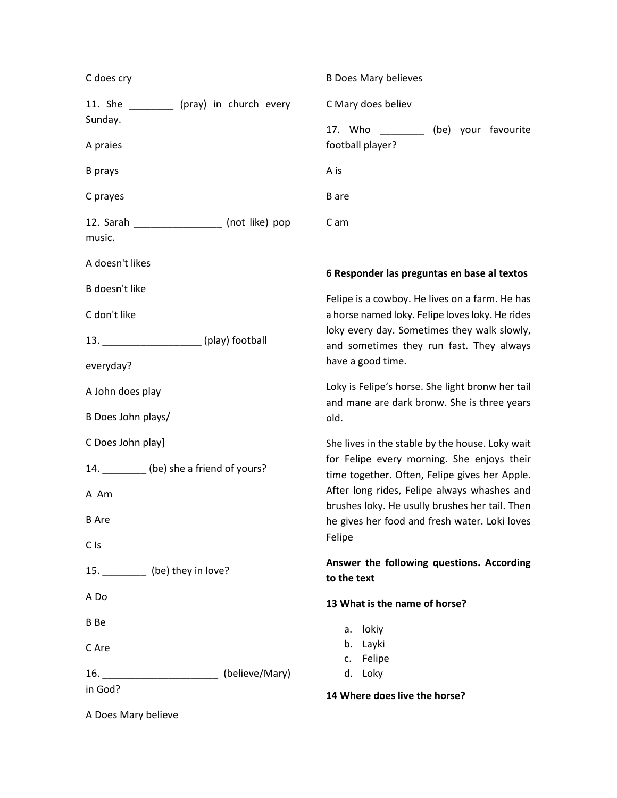| C does cry                                 |                                                | <b>B Does Mary believes</b>                                                                     |                     |
|--------------------------------------------|------------------------------------------------|-------------------------------------------------------------------------------------------------|---------------------|
|                                            | 11. She __________ (pray) in church every      | C Mary does believ                                                                              |                     |
| Sunday.                                    |                                                | 17. Who<br><b>Contract Contract</b>                                                             | (be) your favourite |
| A praies                                   |                                                | football player?                                                                                |                     |
| <b>B</b> prays                             |                                                | A is                                                                                            |                     |
| C prayes                                   |                                                | <b>B</b> are                                                                                    |                     |
|                                            | 12. Sarah _____________________ (not like) pop | C am                                                                                            |                     |
| music.                                     |                                                |                                                                                                 |                     |
| A doesn't likes                            |                                                | 6 Responder las preguntas en base al textos                                                     |                     |
| B doesn't like                             |                                                | Felipe is a cowboy. He lives on a farm. He has                                                  |                     |
| C don't like                               |                                                | a horse named loky. Felipe loves loky. He rides                                                 |                     |
| 13. _______________________(play) football |                                                | loky every day. Sometimes they walk slowly,<br>and sometimes they run fast. They always         |                     |
| everyday?                                  |                                                | have a good time.                                                                               |                     |
| A John does play                           |                                                | Loky is Felipe's horse. She light bronw her tail                                                |                     |
| B Does John plays/                         |                                                | and mane are dark bronw. She is three years<br>old.                                             |                     |
| C Does John play]                          |                                                | She lives in the stable by the house. Loky wait                                                 |                     |
| 14. _________ (be) she a friend of yours?  |                                                | for Felipe every morning. She enjoys their<br>time together. Often, Felipe gives her Apple.     |                     |
| A Am                                       |                                                | After long rides, Felipe always whashes and                                                     |                     |
| <b>B</b> Are                               |                                                | brushes loky. He usully brushes her tail. Then<br>he gives her food and fresh water. Loki loves |                     |
| C Is                                       |                                                | Felipe                                                                                          |                     |
| 15. __________ (be) they in love?          |                                                | Answer the following questions. According                                                       |                     |
| A Do                                       |                                                | to the text                                                                                     |                     |
|                                            |                                                | 13 What is the name of horse?                                                                   |                     |
| <b>B</b> Be                                |                                                | a. lokiy                                                                                        |                     |
| C Are                                      |                                                | b. Layki<br>c. Felipe                                                                           |                     |
| 16.                                        | (believe/Mary)                                 | d. Loky                                                                                         |                     |
| in God?                                    |                                                | 14 Where does live the horse?                                                                   |                     |

A Does Mary believe